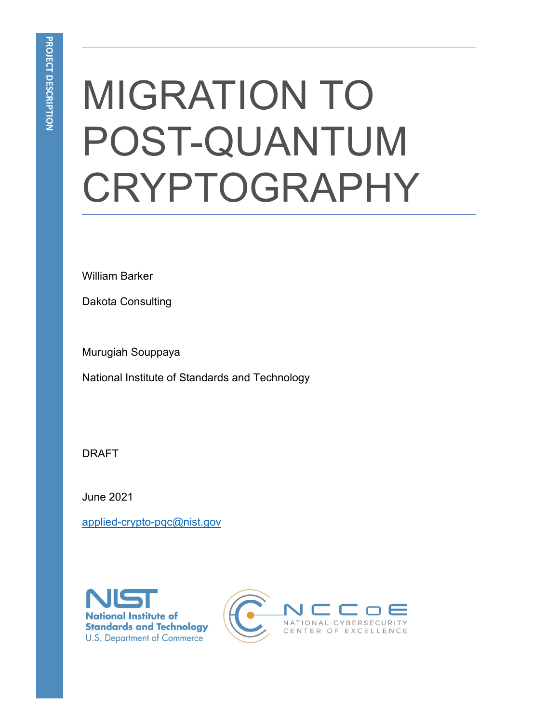# MIGRATION TO POST-QUANTUM **CRYPTOGRAPHY**

William Barker

Dakota Consulting

Murugiah Souppaya

National Institute of Standards and Technology

DRAFT

June 2021

[applied-crypto-pqc@nist.gov](mailto:applied-crypto-pqc@nist.gov)



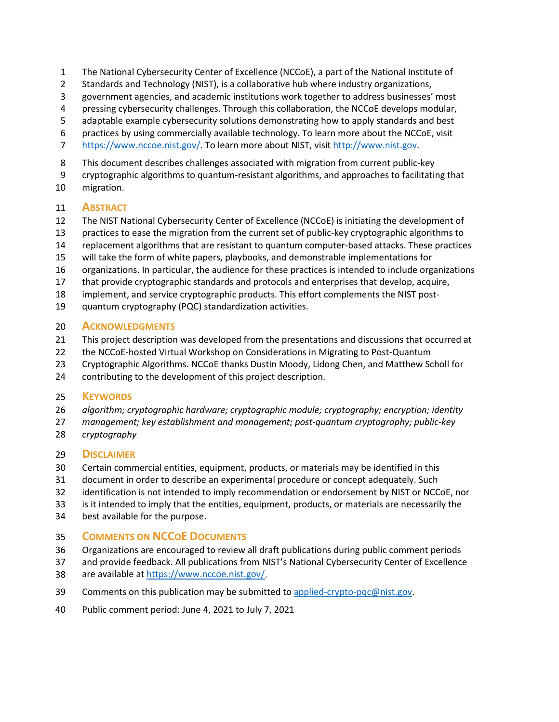- The National Cybersecurity Center of Excellence (NCCoE), a part of the National Institute of
- Standards and Technology (NIST), is a collaborative hub where industry organizations,
- government agencies, and academic institutions work together to address businesses' most
- pressing cybersecurity challenges. Through this collaboration, the NCCoE develops modular,
- adaptable example cybersecurity solutions demonstrating how to apply standards and best
- practices by using commercially available technology. To learn more about the NCCoE, visit
- [https://www.nccoe.nist.gov/.](https://www.nccoe.nist.gov/) To learn more about NIST, visit [http://www.nist.gov.](http://www.nist.gov/)
- This document describes challenges associated with migration from current public-key
- cryptographic algorithms to quantum-resistant algorithms, and approaches to facilitating that
- migration.

## **ABSTRACT**

- The NIST National Cybersecurity Center of Excellence (NCCoE) is initiating the development of
- practices to ease the migration from the current set of public-key cryptographic algorithms to
- replacement algorithms that are resistant to quantum computer-based attacks. These practices
- will take the form of white papers, playbooks, and demonstrable implementations for
- organizations. In particular, the audience for these practices is intended to include organizations
- that provide cryptographic standards and protocols and enterprises that develop, acquire,
- implement, and service cryptographic products. This effort complements the [NIST post-](https://csrc.nist.gov/projects/post-quantum-cryptography)
- [quantum cryptography \(PQC\) standardization](https://csrc.nist.gov/projects/post-quantum-cryptography) activities.

#### **ACKNOWLEDGMENTS**

- This project description was developed from the presentations and discussions that occurred at
- the NCCoE-hosted Virtual Workshop on Considerations in Migrating to Post-Quantum
- Cryptographic Algorithms. NCCoE thanks Dustin Moody, Lidong Chen, and Matthew Scholl for
- contributing to the development of this project description.

## **KEYWORDS**

- *algorithm; cryptographic hardware; cryptographic module; cryptography; encryption; identity*
- *management; key establishment and management; post-quantum cryptography; public-key*
- *cryptography*

## **DISCLAIMER**

- Certain commercial entities, equipment, products, or materials may be identified in this
- document in order to describe an experimental procedure or concept adequately. Such
- identification is not intended to imply recommendation or endorsement by NIST or NCCoE, nor
- is it intended to imply that the entities, equipment, products, or materials are necessarily the
- best available for the purpose.

## **COMMENTS ON NCCOE DOCUMENTS**

- Organizations are encouraged to review all draft publications during public comment periods
- and provide feedback. All publications from NIST's National Cybersecurity Center of Excellence
- are available a[t https://www.nccoe.nist.gov/.](https://www.nccoe.nist.gov/)
- 39 Comments on this publication may be submitted to [applied-crypto-pqc@nist.gov.](mailto:applied-crypto-pqc@nist.gov)
- Public comment period: June 4, 2021 to July 7, 2021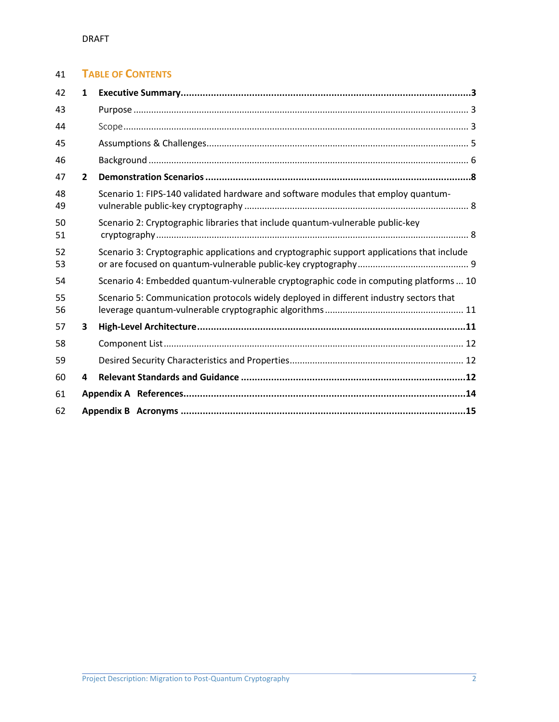## **TABLE OF CONTENTS**

| 42       | 1              |                                                                                            |  |
|----------|----------------|--------------------------------------------------------------------------------------------|--|
| 43       |                |                                                                                            |  |
| 44       |                |                                                                                            |  |
| 45       |                |                                                                                            |  |
| 46       |                |                                                                                            |  |
| 47       | $\overline{2}$ |                                                                                            |  |
| 48<br>49 |                | Scenario 1: FIPS-140 validated hardware and software modules that employ quantum-          |  |
| 50<br>51 |                | Scenario 2: Cryptographic libraries that include quantum-vulnerable public-key             |  |
| 52<br>53 |                | Scenario 3: Cryptographic applications and cryptographic support applications that include |  |
| 54       |                | Scenario 4: Embedded quantum-vulnerable cryptographic code in computing platforms  10      |  |
| 55<br>56 |                | Scenario 5: Communication protocols widely deployed in different industry sectors that     |  |
| 57       | 3              |                                                                                            |  |
| 58       |                |                                                                                            |  |
| 59       |                |                                                                                            |  |
| 60       | 4              |                                                                                            |  |
| 61       |                |                                                                                            |  |
| 62       |                |                                                                                            |  |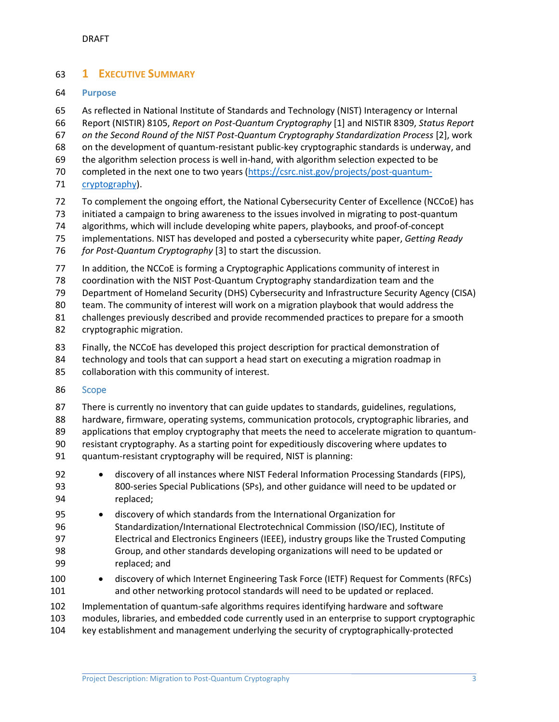## <span id="page-3-0"></span>**1 EXECUTIVE SUMMARY**

#### <span id="page-3-1"></span>**Purpose**

As reflected in National Institute of Standards and Technology (NIST) Interagency or Internal

Report (NISTIR) 8105, *Report on Post-Quantum Cryptography* [\[1\]](#page-14-1) and NISTIR 8309, *Status Report* 

- *on the Second Round of the NIST Post-Quantum Cryptography Standardization Process* [\[2\]](#page-14-2), work
- on the development of quantum-resistant public-key cryptographic standards is underway, and
- the algorithm selection process is well in-hand, with algorithm selection expected to be
- completed in the next one to two years [\(https://csrc.nist.gov/projects/post-quantum-](https://csrc.nist.gov/projects/post-quantum-cryptography)
- [cryptography\)](https://csrc.nist.gov/projects/post-quantum-cryptography).
- To complement the ongoing effort, the National Cybersecurity Center of Excellence (NCCoE) has
- initiated a campaign to bring awareness to the issues involved in migrating to post-quantum
- algorithms, which will include developing white papers, playbooks, and proof-of-concept
- implementations. NIST has developed and posted a cybersecurity white paper, *Getting Ready*
- *for Post-Quantum Cryptography* [\[3\]](#page-14-3) to start the discussion.
- 77 In addition, the NCCoE is forming a Cryptographic Applications community of interest in
- coordination with the NIST Post-Quantum Cryptography standardization team and the
- Department of Homeland Security (DHS) Cybersecurity and Infrastructure Security Agency (CISA)
- team. The community of interest will work on a migration playbook that would address the
- challenges previously described and provide recommended practices to prepare for a smooth
- cryptographic migration.
- Finally, the NCCoE has developed this project description for practical demonstration of
- technology and tools that can support a head start on executing a migration roadmap in
- collaboration with this community of interest.
- <span id="page-3-2"></span>Scope
- There is currently no inventory that can guide updates to standards, guidelines, regulations,
- hardware, firmware, operating systems, communication protocols, cryptographic libraries, and
- applications that employ cryptography that meets the need to accelerate migration to quantum-
- resistant cryptography. As a starting point for expeditiously discovering where updates to quantum-resistant cryptography will be required, NIST is planning:
- 92 discovery of all instances where NIST Federal Information Processing Standards (FIPS), 800-series Special Publications (SPs), and other guidance will need to be updated or replaced;
- discovery of which standards from the International Organization for Standardization/International Electrotechnical Commission (ISO/IEC), Institute of Electrical and Electronics Engineers (IEEE), industry groups like the Trusted Computing Group, and other standards developing organizations will need to be updated or
- replaced; and
- 100 discovery of which Internet Engineering Task Force (IETF) Request for Comments (RFCs) and other networking protocol standards will need to be updated or replaced.
- Implementation of quantum-safe algorithms requires identifying hardware and software
- modules, libraries, and embedded code currently used in an enterprise to support cryptographic
- key establishment and management underlying the security of cryptographically-protected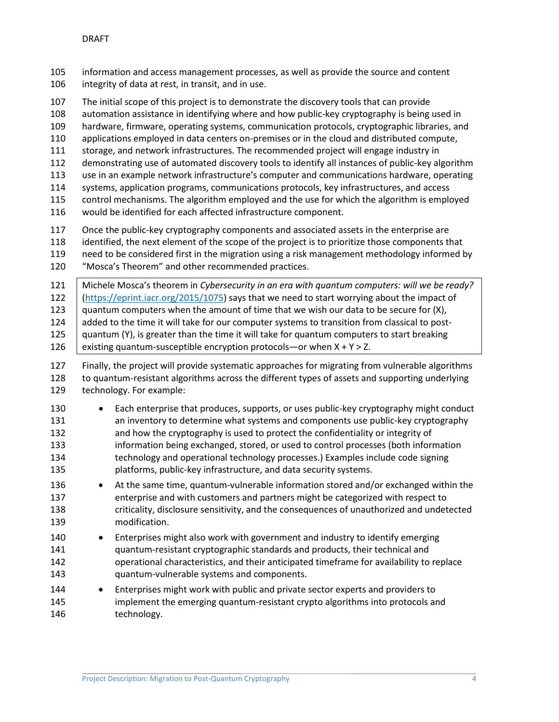information and access management processes, as well as provide the source and content integrity of data at rest, in transit, and in use.

The initial scope of this project is to demonstrate the discovery tools that can provide

automation assistance in identifying where and how public-key cryptography is being used in

hardware, firmware, operating systems, communication protocols, cryptographic libraries, and

applications employed in data centers on-premises or in the cloud and distributed compute,

storage, and network infrastructures. The recommended project will engage industry in

demonstrating use of automated discovery tools to identify all instances of public-key algorithm

use in an example network infrastructure's computer and communications hardware, operating

systems, application programs, communications protocols, key infrastructures, and access

 control mechanisms. The algorithm employed and the use for which the algorithm is employed would be identified for each affected infrastructure component.

 Once the public-key cryptography components and associated assets in the enterprise are identified, the next element of the scope of the project is to prioritize those components that need to be considered first in the migration using a risk management methodology informed by

"Mosca's Theorem" and other recommended practices.

 Michele Mosca's theorem in *Cybersecurity in an era with quantum computers: will we be ready?* [\(https://eprint.iacr.org/2015/1075\)](https://eprint.iacr.org/2015/1075) says that we need to start worrying about the impact of 123 quantum computers when the amount of time that we wish our data to be secure for  $(X)$ , 124 added to the time it will take for our computer systems to transition from classical to post- $\mid$  quantum (Y), is greater than the time it will take for quantum computers to start breaking  $\vert$  existing quantum-susceptible encryption protocols—or when X + Y > Z.

 Finally, the project will provide systematic approaches for migrating from vulnerable algorithms to quantum-resistant algorithms across the different types of assets and supporting underlying technology. For example:

 • Each enterprise that produces, supports, or uses public-key cryptography might conduct an inventory to determine what systems and components use public-key cryptography and how the cryptography is used to protect the confidentiality or integrity of information being exchanged, stored, or used to control processes (both information technology and operational technology processes.) Examples include code signing platforms, public-key infrastructure, and data security systems.

- 136 At the same time, quantum-vulnerable information stored and/or exchanged within the enterprise and with customers and partners might be categorized with respect to criticality, disclosure sensitivity, and the consequences of unauthorized and undetected modification.
- Enterprises might also work with government and industry to identify emerging quantum-resistant cryptographic standards and products, their technical and operational characteristics, and their anticipated timeframe for availability to replace quantum-vulnerable systems and components.
- Enterprises might work with public and private sector experts and providers to implement the emerging quantum-resistant crypto algorithms into protocols and technology.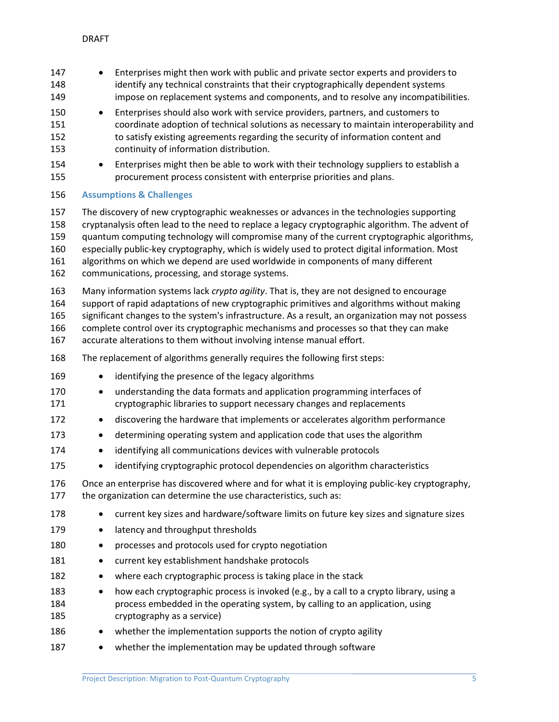<span id="page-5-0"></span>

| 147<br>148<br>149<br>150<br>151<br>152<br>153<br>154 | $\bullet$<br>$\bullet$                                                                                                                                                                                                                                                                                                                                                                                                                                         | Enterprises might then work with public and private sector experts and providers to<br>identify any technical constraints that their cryptographically dependent systems<br>impose on replacement systems and components, and to resolve any incompatibilities.<br>Enterprises should also work with service providers, partners, and customers to<br>coordinate adoption of technical solutions as necessary to maintain interoperability and<br>to satisfy existing agreements regarding the security of information content and<br>continuity of information distribution.<br>Enterprises might then be able to work with their technology suppliers to establish a |  |
|------------------------------------------------------|----------------------------------------------------------------------------------------------------------------------------------------------------------------------------------------------------------------------------------------------------------------------------------------------------------------------------------------------------------------------------------------------------------------------------------------------------------------|------------------------------------------------------------------------------------------------------------------------------------------------------------------------------------------------------------------------------------------------------------------------------------------------------------------------------------------------------------------------------------------------------------------------------------------------------------------------------------------------------------------------------------------------------------------------------------------------------------------------------------------------------------------------|--|
| 155                                                  |                                                                                                                                                                                                                                                                                                                                                                                                                                                                | procurement process consistent with enterprise priorities and plans.                                                                                                                                                                                                                                                                                                                                                                                                                                                                                                                                                                                                   |  |
| 156                                                  |                                                                                                                                                                                                                                                                                                                                                                                                                                                                | <b>Assumptions &amp; Challenges</b>                                                                                                                                                                                                                                                                                                                                                                                                                                                                                                                                                                                                                                    |  |
| 157<br>158<br>159<br>160<br>161<br>162               |                                                                                                                                                                                                                                                                                                                                                                                                                                                                | The discovery of new cryptographic weaknesses or advances in the technologies supporting<br>cryptanalysis often lead to the need to replace a legacy cryptographic algorithm. The advent of<br>quantum computing technology will compromise many of the current cryptographic algorithms,<br>especially public-key cryptography, which is widely used to protect digital information. Most<br>algorithms on which we depend are used worldwide in components of many different<br>communications, processing, and storage systems.                                                                                                                                     |  |
| 163<br>164<br>165<br>166<br>167                      | Many information systems lack crypto agility. That is, they are not designed to encourage<br>support of rapid adaptations of new cryptographic primitives and algorithms without making<br>significant changes to the system's infrastructure. As a result, an organization may not possess<br>complete control over its cryptographic mechanisms and processes so that they can make<br>accurate alterations to them without involving intense manual effort. |                                                                                                                                                                                                                                                                                                                                                                                                                                                                                                                                                                                                                                                                        |  |
| 168                                                  |                                                                                                                                                                                                                                                                                                                                                                                                                                                                | The replacement of algorithms generally requires the following first steps:                                                                                                                                                                                                                                                                                                                                                                                                                                                                                                                                                                                            |  |
| 169                                                  | $\bullet$                                                                                                                                                                                                                                                                                                                                                                                                                                                      | identifying the presence of the legacy algorithms                                                                                                                                                                                                                                                                                                                                                                                                                                                                                                                                                                                                                      |  |
| 170<br>171                                           | $\bullet$                                                                                                                                                                                                                                                                                                                                                                                                                                                      | understanding the data formats and application programming interfaces of<br>cryptographic libraries to support necessary changes and replacements                                                                                                                                                                                                                                                                                                                                                                                                                                                                                                                      |  |
| 172                                                  | $\bullet$                                                                                                                                                                                                                                                                                                                                                                                                                                                      | discovering the hardware that implements or accelerates algorithm performance                                                                                                                                                                                                                                                                                                                                                                                                                                                                                                                                                                                          |  |
| 173                                                  | $\bullet$                                                                                                                                                                                                                                                                                                                                                                                                                                                      | determining operating system and application code that uses the algorithm                                                                                                                                                                                                                                                                                                                                                                                                                                                                                                                                                                                              |  |
| 174                                                  |                                                                                                                                                                                                                                                                                                                                                                                                                                                                | identifying all communications devices with vulnerable protocols                                                                                                                                                                                                                                                                                                                                                                                                                                                                                                                                                                                                       |  |
| 175                                                  |                                                                                                                                                                                                                                                                                                                                                                                                                                                                | identifying cryptographic protocol dependencies on algorithm characteristics                                                                                                                                                                                                                                                                                                                                                                                                                                                                                                                                                                                           |  |
| 176<br>177                                           |                                                                                                                                                                                                                                                                                                                                                                                                                                                                | Once an enterprise has discovered where and for what it is employing public-key cryptography,<br>the organization can determine the use characteristics, such as:                                                                                                                                                                                                                                                                                                                                                                                                                                                                                                      |  |
| 178                                                  |                                                                                                                                                                                                                                                                                                                                                                                                                                                                | current key sizes and hardware/software limits on future key sizes and signature sizes                                                                                                                                                                                                                                                                                                                                                                                                                                                                                                                                                                                 |  |
| 179                                                  | ٠                                                                                                                                                                                                                                                                                                                                                                                                                                                              | latency and throughput thresholds                                                                                                                                                                                                                                                                                                                                                                                                                                                                                                                                                                                                                                      |  |
| 180                                                  | ٠                                                                                                                                                                                                                                                                                                                                                                                                                                                              | processes and protocols used for crypto negotiation                                                                                                                                                                                                                                                                                                                                                                                                                                                                                                                                                                                                                    |  |
| 181                                                  | ٠                                                                                                                                                                                                                                                                                                                                                                                                                                                              | current key establishment handshake protocols                                                                                                                                                                                                                                                                                                                                                                                                                                                                                                                                                                                                                          |  |
| 182                                                  |                                                                                                                                                                                                                                                                                                                                                                                                                                                                | where each cryptographic process is taking place in the stack                                                                                                                                                                                                                                                                                                                                                                                                                                                                                                                                                                                                          |  |
| 183<br>184<br>185                                    |                                                                                                                                                                                                                                                                                                                                                                                                                                                                | how each cryptographic process is invoked (e.g., by a call to a crypto library, using a<br>process embedded in the operating system, by calling to an application, using<br>cryptography as a service)                                                                                                                                                                                                                                                                                                                                                                                                                                                                 |  |
| 186                                                  |                                                                                                                                                                                                                                                                                                                                                                                                                                                                | whether the implementation supports the notion of crypto agility                                                                                                                                                                                                                                                                                                                                                                                                                                                                                                                                                                                                       |  |
| 187                                                  |                                                                                                                                                                                                                                                                                                                                                                                                                                                                | whether the implementation may be updated through software                                                                                                                                                                                                                                                                                                                                                                                                                                                                                                                                                                                                             |  |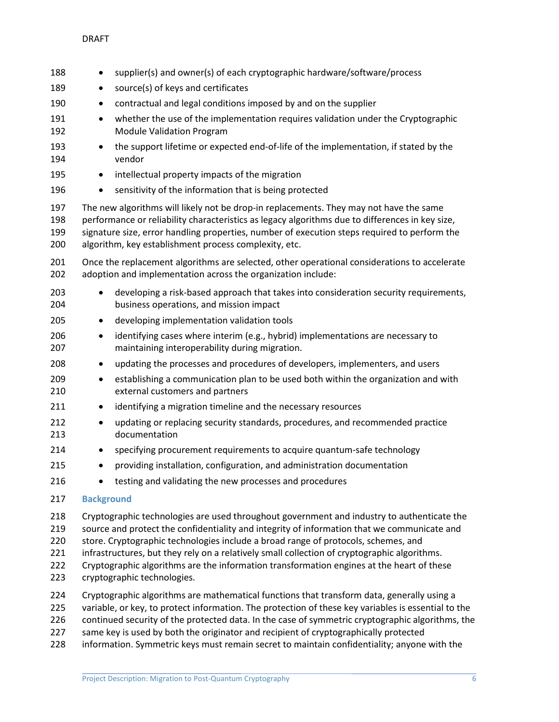| 188                      |                   | supplier(s) and owner(s) of each cryptographic hardware/software/process                                                                                                                                                                                                                                                                           |
|--------------------------|-------------------|----------------------------------------------------------------------------------------------------------------------------------------------------------------------------------------------------------------------------------------------------------------------------------------------------------------------------------------------------|
| 189                      | ٠                 | source(s) of keys and certificates                                                                                                                                                                                                                                                                                                                 |
| 190                      | $\bullet$         | contractual and legal conditions imposed by and on the supplier                                                                                                                                                                                                                                                                                    |
| 191<br>192               | $\bullet$         | whether the use of the implementation requires validation under the Cryptographic<br><b>Module Validation Program</b>                                                                                                                                                                                                                              |
| 193<br>194               | $\bullet$         | the support lifetime or expected end-of-life of the implementation, if stated by the<br>vendor                                                                                                                                                                                                                                                     |
| 195                      | $\bullet$         | intellectual property impacts of the migration                                                                                                                                                                                                                                                                                                     |
| 196                      |                   | sensitivity of the information that is being protected                                                                                                                                                                                                                                                                                             |
| 197<br>198<br>199<br>200 |                   | The new algorithms will likely not be drop-in replacements. They may not have the same<br>performance or reliability characteristics as legacy algorithms due to differences in key size,<br>signature size, error handling properties, number of execution steps required to perform the<br>algorithm, key establishment process complexity, etc. |
| 201<br>202               |                   | Once the replacement algorithms are selected, other operational considerations to accelerate<br>adoption and implementation across the organization include:                                                                                                                                                                                       |
| 203<br>204               | ٠                 | developing a risk-based approach that takes into consideration security requirements,<br>business operations, and mission impact                                                                                                                                                                                                                   |
| 205                      | $\bullet$         | developing implementation validation tools                                                                                                                                                                                                                                                                                                         |
| 206<br>207               | $\bullet$         | identifying cases where interim (e.g., hybrid) implementations are necessary to<br>maintaining interoperability during migration.                                                                                                                                                                                                                  |
| 208                      | $\bullet$         | updating the processes and procedures of developers, implementers, and users                                                                                                                                                                                                                                                                       |
| 209<br>210               | $\bullet$         | establishing a communication plan to be used both within the organization and with<br>external customers and partners                                                                                                                                                                                                                              |
| 211                      | $\bullet$         | identifying a migration timeline and the necessary resources                                                                                                                                                                                                                                                                                       |
| 212<br>213               | ٠                 | updating or replacing security standards, procedures, and recommended practice<br>documentation                                                                                                                                                                                                                                                    |
| 214                      | ٠                 | specifying procurement requirements to acquire quantum-safe technology                                                                                                                                                                                                                                                                             |
| 215                      | $\bullet$         | providing installation, configuration, and administration documentation                                                                                                                                                                                                                                                                            |
| 216                      | ٠                 | testing and validating the new processes and procedures                                                                                                                                                                                                                                                                                            |
| 217                      | <b>Background</b> |                                                                                                                                                                                                                                                                                                                                                    |
| 218<br>219<br>220        |                   | Cryptographic technologies are used throughout government and industry to authenticate the<br>source and protect the confidentiality and integrity of information that we communicate and<br>store. Cryptographic technologies include a broad range of protocols, schemes, and                                                                    |

- <span id="page-6-0"></span>infrastructures, but they rely on a relatively small collection of cryptographic algorithms.
- Cryptographic algorithms are the information transformation engines at the heart of these cryptographic technologies.
- Cryptographic algorithms are mathematical functions that transform data, generally using a
- variable, or key, to protect information. The protection of these key variables is essential to the
- 226 continued security of the protected data. In the case of symmetric cryptographic algorithms, the
- 227 same key is used by both the originator and recipient of cryptographically protected
- information. Symmetric keys must remain secret to maintain confidentiality; anyone with the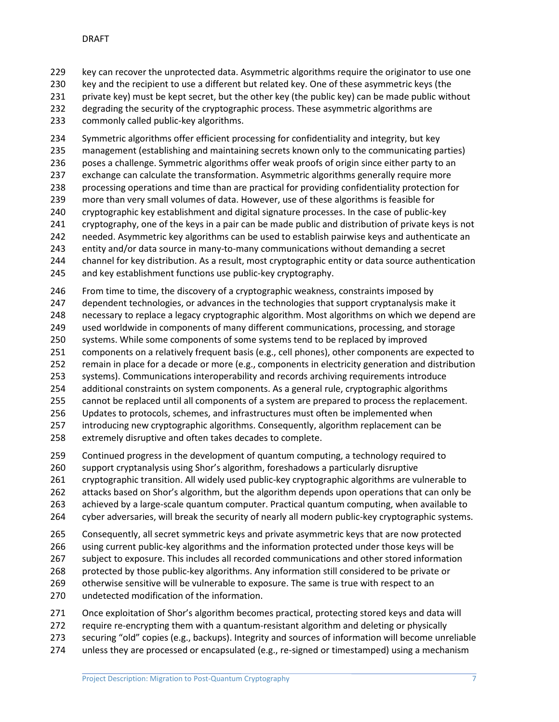key can recover the unprotected data. Asymmetric algorithms require the originator to use one key and the recipient to use a different but related key. One of these asymmetric keys (the private key) must be kept secret, but the other key (the public key) can be made public without degrading the security of the cryptographic process. These asymmetric algorithms are commonly called public-key algorithms.

 Symmetric algorithms offer efficient processing for confidentiality and integrity, but key management (establishing and maintaining secrets known only to the communicating parties) 236 poses a challenge. Symmetric algorithms offer weak proofs of origin since either party to an exchange can calculate the transformation. Asymmetric algorithms generally require more processing operations and time than are practical for providing confidentiality protection for more than very small volumes of data. However, use of these algorithms is feasible for cryptographic key establishment and digital signature processes. In the case of public-key cryptography, one of the keys in a pair can be made public and distribution of private keys is not needed. Asymmetric key algorithms can be used to establish pairwise keys and authenticate an entity and/or data source in many-to-many communications without demanding a secret channel for key distribution. As a result, most cryptographic entity or data source authentication and key establishment functions use public-key cryptography.

From time to time, the discovery of a cryptographic weakness, constraints imposed by

dependent technologies, or advances in the technologies that support cryptanalysis make it

necessary to replace a legacy cryptographic algorithm. Most algorithms on which we depend are

- used worldwide in components of many different communications, processing, and storage
- systems. While some components of some systems tend to be replaced by improved components on a relatively frequent basis (e.g., cell phones), other components are expected to
- remain in place for a decade or more (e.g., components in electricity generation and distribution
- systems). Communications interoperability and records archiving requirements introduce
- additional constraints on system components. As a general rule, cryptographic algorithms
- cannot be replaced until all components of a system are prepared to process the replacement.
- Updates to protocols, schemes, and infrastructures must often be implemented when
- introducing new cryptographic algorithms. Consequently, algorithm replacement can be extremely disruptive and often takes decades to complete.
- Continued progress in the development of quantum computing, a technology required to
- support cryptanalysis using Shor's algorithm, foreshadows a particularly disruptive

cryptographic transition. All widely used public-key cryptographic algorithms are vulnerable to

attacks based on Shor's algorithm, but the algorithm depends upon operations that can only be

- achieved by a large-scale quantum computer. Practical quantum computing, when available to
- cyber adversaries, will break the security of nearly all modern public-key cryptographic systems.
- Consequently, all secret symmetric keys and private asymmetric keys that are now protected

using current public-key algorithms and the information protected under those keys will be

- subject to exposure. This includes all recorded communications and other stored information
- protected by those public-key algorithms. Any information still considered to be private or
- otherwise sensitive will be vulnerable to exposure. The same is true with respect to an undetected modification of the information.
- Once exploitation of Shor's algorithm becomes practical, protecting stored keys and data will
- require re-encrypting them with a quantum-resistant algorithm and deleting or physically
- securing "old" copies (e.g., backups). Integrity and sources of information will become unreliable
- 274 unless they are processed or encapsulated (e.g., re-signed or timestamped) using a mechanism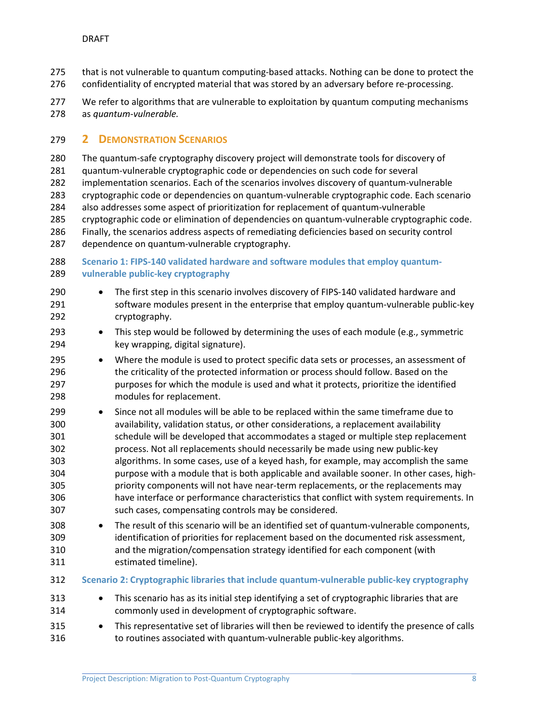- that is not vulnerable to quantum computing-based attacks. Nothing can be done to protect the
- confidentiality of encrypted material that was stored by an adversary before re-processing.
- 277 We refer to algorithms that are vulnerable to exploitation by quantum computing mechanisms as *quantum-vulnerable.*

#### <span id="page-8-0"></span>**2 DEMONSTRATION SCENARIOS**

- The quantum-safe cryptography discovery project will demonstrate tools for discovery of
- quantum-vulnerable cryptographic code or dependencies on such code for several
- implementation scenarios. Each of the scenarios involves discovery of quantum-vulnerable
- cryptographic code or dependencies on quantum-vulnerable cryptographic code. Each scenario also addresses some aspect of prioritization for replacement of quantum-vulnerable
- cryptographic code or elimination of dependencies on quantum-vulnerable cryptographic code.
- Finally, the scenarios address aspects of remediating deficiencies based on security control dependence on quantum-vulnerable cryptography.

#### <span id="page-8-1"></span> **Scenario 1: FIPS-140 validated hardware and software modules that employ quantum-vulnerable public-key cryptography**

- The first step in this scenario involves discovery of FIPS-140 validated hardware and software modules present in the enterprise that employ quantum-vulnerable public-key cryptography.
- This step would be followed by determining the uses of each module (e.g., symmetric key wrapping, digital signature).
- Where the module is used to protect specific data sets or processes, an assessment of the criticality of the protected information or process should follow. Based on the purposes for which the module is used and what it protects, prioritize the identified modules for replacement.
- Since not all modules will be able to be replaced within the same timeframe due to availability, validation status, or other considerations, a replacement availability schedule will be developed that accommodates a staged or multiple step replacement process. Not all replacements should necessarily be made using new public-key algorithms. In some cases, use of a keyed hash, for example, may accomplish the same purpose with a module that is both applicable and available sooner. In other cases, high- priority components will not have near-term replacements, or the replacements may have interface or performance characteristics that conflict with system requirements. In such cases, compensating controls may be considered.
- The result of this scenario will be an identified set of quantum-vulnerable components, identification of priorities for replacement based on the documented risk assessment, and the migration/compensation strategy identified for each component (with estimated timeline).
- <span id="page-8-2"></span>**Scenario 2: Cryptographic libraries that include quantum-vulnerable public-key cryptography**
- This scenario has as its initial step identifying a set of cryptographic libraries that are commonly used in development of cryptographic software.
- This representative set of libraries will then be reviewed to identify the presence of calls to routines associated with quantum-vulnerable public-key algorithms.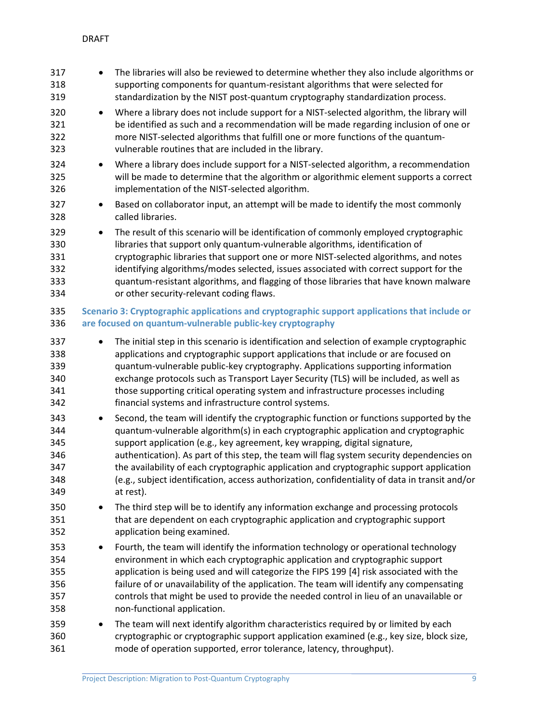<span id="page-9-0"></span>

| 317<br>318<br>319                                    | $\bullet$ | The libraries will also be reviewed to determine whether they also include algorithms or<br>supporting components for quantum-resistant algorithms that were selected for<br>standardization by the NIST post-quantum cryptography standardization process.                                                                                                                                                                                                                                                                                                                                                                                                                                   |
|------------------------------------------------------|-----------|-----------------------------------------------------------------------------------------------------------------------------------------------------------------------------------------------------------------------------------------------------------------------------------------------------------------------------------------------------------------------------------------------------------------------------------------------------------------------------------------------------------------------------------------------------------------------------------------------------------------------------------------------------------------------------------------------|
| 320<br>321<br>322<br>323                             | ٠         | Where a library does not include support for a NIST-selected algorithm, the library will<br>be identified as such and a recommendation will be made regarding inclusion of one or<br>more NIST-selected algorithms that fulfill one or more functions of the quantum-<br>vulnerable routines that are included in the library.                                                                                                                                                                                                                                                                                                                                                                |
| 324<br>325<br>326                                    | $\bullet$ | Where a library does include support for a NIST-selected algorithm, a recommendation<br>will be made to determine that the algorithm or algorithmic element supports a correct<br>implementation of the NIST-selected algorithm.                                                                                                                                                                                                                                                                                                                                                                                                                                                              |
| 327<br>328                                           | $\bullet$ | Based on collaborator input, an attempt will be made to identify the most commonly<br>called libraries.                                                                                                                                                                                                                                                                                                                                                                                                                                                                                                                                                                                       |
| 329<br>330<br>331<br>332<br>333<br>334               | $\bullet$ | The result of this scenario will be identification of commonly employed cryptographic<br>libraries that support only quantum-vulnerable algorithms, identification of<br>cryptographic libraries that support one or more NIST-selected algorithms, and notes<br>identifying algorithms/modes selected, issues associated with correct support for the<br>quantum-resistant algorithms, and flagging of those libraries that have known malware<br>or other security-relevant coding flaws.                                                                                                                                                                                                   |
| 335<br>336                                           |           | Scenario 3: Cryptographic applications and cryptographic support applications that include or<br>are focused on quantum-vulnerable public-key cryptography                                                                                                                                                                                                                                                                                                                                                                                                                                                                                                                                    |
| 337<br>338<br>339<br>340<br>341<br>342<br>343<br>344 | $\bullet$ | The initial step in this scenario is identification and selection of example cryptographic<br>applications and cryptographic support applications that include or are focused on<br>quantum-vulnerable public-key cryptography. Applications supporting information<br>exchange protocols such as Transport Layer Security (TLS) will be included, as well as<br>those supporting critical operating system and infrastructure processes including<br>financial systems and infrastructure control systems.<br>Second, the team will identify the cryptographic function or functions supported by the<br>quantum-vulnerable algorithm(s) in each cryptographic application and cryptographic |
| 345<br>346<br>347<br>348<br>349                      |           | support application (e.g., key agreement, key wrapping, digital signature,<br>authentication). As part of this step, the team will flag system security dependencies on<br>the availability of each cryptographic application and cryptographic support application<br>(e.g., subject identification, access authorization, confidentiality of data in transit and/or<br>at rest).                                                                                                                                                                                                                                                                                                            |
| 350<br>351<br>352                                    | ٠         | The third step will be to identify any information exchange and processing protocols<br>that are dependent on each cryptographic application and cryptographic support<br>application being examined.                                                                                                                                                                                                                                                                                                                                                                                                                                                                                         |
| 353<br>354<br>355<br>356<br>357<br>358               | ٠         | Fourth, the team will identify the information technology or operational technology<br>environment in which each cryptographic application and cryptographic support<br>application is being used and will categorize the FIPS 199 [4] risk associated with the<br>failure of or unavailability of the application. The team will identify any compensating<br>controls that might be used to provide the needed control in lieu of an unavailable or<br>non-functional application.                                                                                                                                                                                                          |
| 359<br>360<br>361                                    | ٠         | The team will next identify algorithm characteristics required by or limited by each<br>cryptographic or cryptographic support application examined (e.g., key size, block size,<br>mode of operation supported, error tolerance, latency, throughput).                                                                                                                                                                                                                                                                                                                                                                                                                                       |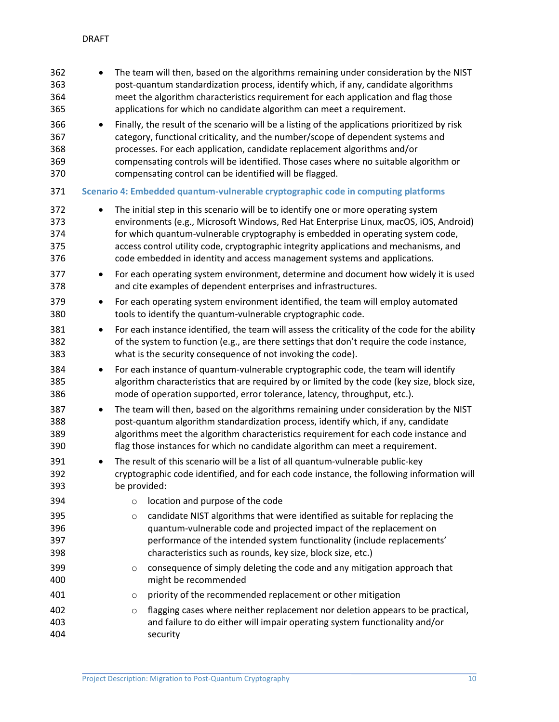<span id="page-10-0"></span>

| 362<br>363<br>364<br>365        |           |              | The team will then, based on the algorithms remaining under consideration by the NIST<br>post-quantum standardization process, identify which, if any, candidate algorithms<br>meet the algorithm characteristics requirement for each application and flag those<br>applications for which no candidate algorithm can meet a requirement.                                                                                           |
|---------------------------------|-----------|--------------|--------------------------------------------------------------------------------------------------------------------------------------------------------------------------------------------------------------------------------------------------------------------------------------------------------------------------------------------------------------------------------------------------------------------------------------|
| 366<br>367<br>368<br>369<br>370 |           |              | Finally, the result of the scenario will be a listing of the applications prioritized by risk<br>category, functional criticality, and the number/scope of dependent systems and<br>processes. For each application, candidate replacement algorithms and/or<br>compensating controls will be identified. Those cases where no suitable algorithm or<br>compensating control can be identified will be flagged.                      |
| 371                             |           |              | Scenario 4: Embedded quantum-vulnerable cryptographic code in computing platforms                                                                                                                                                                                                                                                                                                                                                    |
| 372<br>373<br>374<br>375<br>376 |           |              | The initial step in this scenario will be to identify one or more operating system<br>environments (e.g., Microsoft Windows, Red Hat Enterprise Linux, macOS, iOS, Android)<br>for which quantum-vulnerable cryptography is embedded in operating system code,<br>access control utility code, cryptographic integrity applications and mechanisms, and<br>code embedded in identity and access management systems and applications. |
| 377<br>378                      | ٠         |              | For each operating system environment, determine and document how widely it is used<br>and cite examples of dependent enterprises and infrastructures.                                                                                                                                                                                                                                                                               |
| 379<br>380                      | ٠         |              | For each operating system environment identified, the team will employ automated<br>tools to identify the quantum-vulnerable cryptographic code.                                                                                                                                                                                                                                                                                     |
| 381<br>382<br>383               | ٠         |              | For each instance identified, the team will assess the criticality of the code for the ability<br>of the system to function (e.g., are there settings that don't require the code instance,<br>what is the security consequence of not invoking the code).                                                                                                                                                                           |
| 384<br>385<br>386               | $\bullet$ |              | For each instance of quantum-vulnerable cryptographic code, the team will identify<br>algorithm characteristics that are required by or limited by the code (key size, block size,<br>mode of operation supported, error tolerance, latency, throughput, etc.).                                                                                                                                                                      |
| 387<br>388<br>389<br>390        | $\bullet$ |              | The team will then, based on the algorithms remaining under consideration by the NIST<br>post-quantum algorithm standardization process, identify which, if any, candidate<br>algorithms meet the algorithm characteristics requirement for each code instance and<br>flag those instances for which no candidate algorithm can meet a requirement.                                                                                  |
| 391<br>392<br>393               |           | be provided: | The result of this scenario will be a list of all quantum-vulnerable public-key<br>cryptographic code identified, and for each code instance, the following information will                                                                                                                                                                                                                                                         |
| 394                             |           | $\circ$      | location and purpose of the code                                                                                                                                                                                                                                                                                                                                                                                                     |
| 395<br>396<br>397<br>398        |           | $\circ$      | candidate NIST algorithms that were identified as suitable for replacing the<br>quantum-vulnerable code and projected impact of the replacement on<br>performance of the intended system functionality (include replacements'<br>characteristics such as rounds, key size, block size, etc.)                                                                                                                                         |
| 399<br>400                      |           | $\circ$      | consequence of simply deleting the code and any mitigation approach that<br>might be recommended                                                                                                                                                                                                                                                                                                                                     |
| 401                             |           | $\circ$      | priority of the recommended replacement or other mitigation                                                                                                                                                                                                                                                                                                                                                                          |
| 402<br>403<br>404               |           | $\circ$      | flagging cases where neither replacement nor deletion appears to be practical,<br>and failure to do either will impair operating system functionality and/or<br>security                                                                                                                                                                                                                                                             |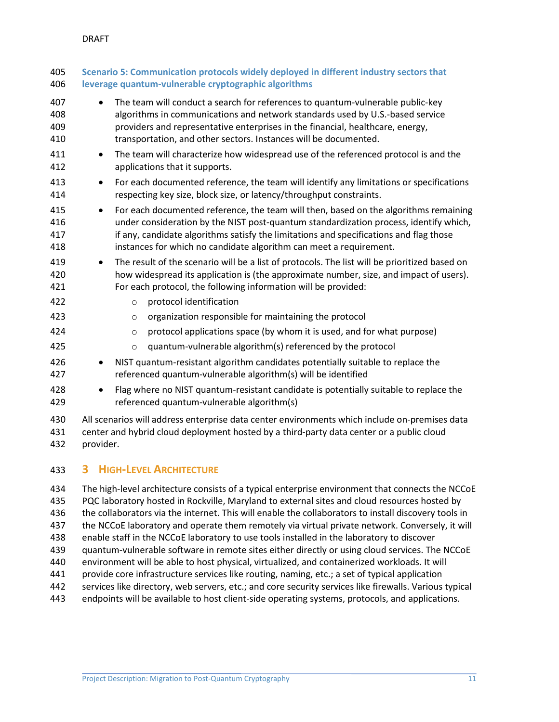<span id="page-11-0"></span>

| 405<br>406               | Scenario 5: Communication protocols widely deployed in different industry sectors that<br>leverage quantum-vulnerable cryptographic algorithms                                            |                                                                                                                                                                                                                                                                                                                                               |  |
|--------------------------|-------------------------------------------------------------------------------------------------------------------------------------------------------------------------------------------|-----------------------------------------------------------------------------------------------------------------------------------------------------------------------------------------------------------------------------------------------------------------------------------------------------------------------------------------------|--|
| 407<br>408<br>409<br>410 | $\bullet$                                                                                                                                                                                 | The team will conduct a search for references to quantum-vulnerable public-key<br>algorithms in communications and network standards used by U.S.-based service<br>providers and representative enterprises in the financial, healthcare, energy,<br>transportation, and other sectors. Instances will be documented.                         |  |
| 411<br>412               | $\bullet$                                                                                                                                                                                 | The team will characterize how widespread use of the referenced protocol is and the<br>applications that it supports.                                                                                                                                                                                                                         |  |
| 413<br>414               | $\bullet$                                                                                                                                                                                 | For each documented reference, the team will identify any limitations or specifications<br>respecting key size, block size, or latency/throughput constraints.                                                                                                                                                                                |  |
| 415<br>416<br>417<br>418 | $\bullet$                                                                                                                                                                                 | For each documented reference, the team will then, based on the algorithms remaining<br>under consideration by the NIST post-quantum standardization process, identify which,<br>if any, candidate algorithms satisfy the limitations and specifications and flag those<br>instances for which no candidate algorithm can meet a requirement. |  |
| 419<br>420<br>421        | $\bullet$                                                                                                                                                                                 | The result of the scenario will be a list of protocols. The list will be prioritized based on<br>how widespread its application is (the approximate number, size, and impact of users).<br>For each protocol, the following information will be provided:                                                                                     |  |
| 422                      |                                                                                                                                                                                           | protocol identification<br>$\circ$                                                                                                                                                                                                                                                                                                            |  |
| 423                      |                                                                                                                                                                                           | organization responsible for maintaining the protocol<br>$\circ$                                                                                                                                                                                                                                                                              |  |
| 424                      |                                                                                                                                                                                           | protocol applications space (by whom it is used, and for what purpose)<br>$\circ$                                                                                                                                                                                                                                                             |  |
| 425                      |                                                                                                                                                                                           | quantum-vulnerable algorithm(s) referenced by the protocol<br>$\circ$                                                                                                                                                                                                                                                                         |  |
| 426<br>427               | $\bullet$                                                                                                                                                                                 | NIST quantum-resistant algorithm candidates potentially suitable to replace the<br>referenced quantum-vulnerable algorithm(s) will be identified                                                                                                                                                                                              |  |
| 428<br>429               | $\bullet$                                                                                                                                                                                 | Flag where no NIST quantum-resistant candidate is potentially suitable to replace the<br>referenced quantum-vulnerable algorithm(s)                                                                                                                                                                                                           |  |
| 430<br>431               | All scenarios will address enterprise data center environments which include on-premises data<br>center and hybrid cloud deployment hosted by a third-party data center or a public cloud |                                                                                                                                                                                                                                                                                                                                               |  |

provider.

## <span id="page-11-1"></span>**3 HIGH-LEVEL ARCHITECTURE**

 The high-level architecture consists of a typical enterprise environment that connects the NCCoE PQC laboratory hosted in Rockville, Maryland to external sites and cloud resources hosted by the collaborators via the internet. This will enable the collaborators to install discovery tools in the NCCoE laboratory and operate them remotely via virtual private network. Conversely, it will enable staff in the NCCoE laboratory to use tools installed in the laboratory to discover quantum-vulnerable software in remote sites either directly or using cloud services. The NCCoE environment will be able to host physical, virtualized, and containerized workloads. It will provide core infrastructure services like routing, naming, etc.; a set of typical application services like directory, web servers, etc.; and core security services like firewalls. Various typical endpoints will be available to host client-side operating systems, protocols, and applications.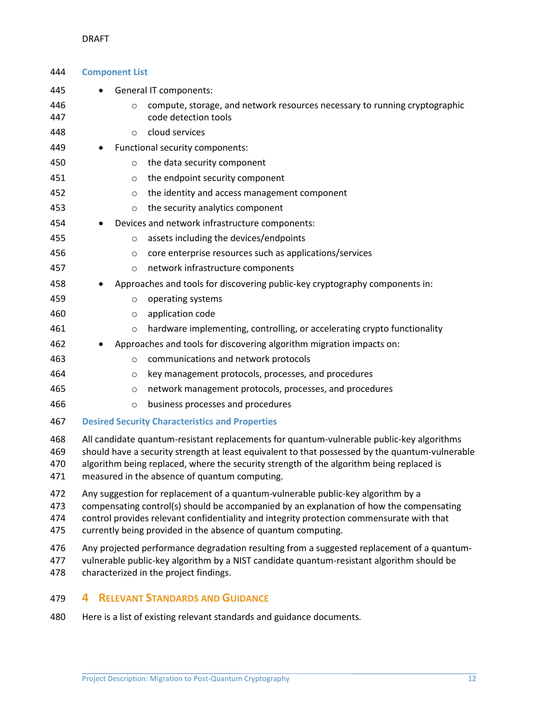#### <span id="page-12-0"></span>DRAFT

| 444                      | <b>Component List</b>                                                                                                                                                                                                                                                                                                                     |  |  |
|--------------------------|-------------------------------------------------------------------------------------------------------------------------------------------------------------------------------------------------------------------------------------------------------------------------------------------------------------------------------------------|--|--|
| 445                      | <b>General IT components:</b>                                                                                                                                                                                                                                                                                                             |  |  |
| 446<br>447               | compute, storage, and network resources necessary to running cryptographic<br>$\Omega$<br>code detection tools                                                                                                                                                                                                                            |  |  |
| 448                      | cloud services<br>$\circ$                                                                                                                                                                                                                                                                                                                 |  |  |
| 449                      | Functional security components:                                                                                                                                                                                                                                                                                                           |  |  |
| 450                      | the data security component<br>$\circ$                                                                                                                                                                                                                                                                                                    |  |  |
| 451                      | the endpoint security component<br>$\circ$                                                                                                                                                                                                                                                                                                |  |  |
| 452                      | the identity and access management component<br>$\circ$                                                                                                                                                                                                                                                                                   |  |  |
| 453                      | the security analytics component<br>$\circ$                                                                                                                                                                                                                                                                                               |  |  |
| 454                      | Devices and network infrastructure components:                                                                                                                                                                                                                                                                                            |  |  |
| 455                      | assets including the devices/endpoints<br>$\circ$                                                                                                                                                                                                                                                                                         |  |  |
| 456                      | core enterprise resources such as applications/services<br>$\circ$                                                                                                                                                                                                                                                                        |  |  |
| 457                      | network infrastructure components<br>$\circ$                                                                                                                                                                                                                                                                                              |  |  |
| 458                      | Approaches and tools for discovering public-key cryptography components in:                                                                                                                                                                                                                                                               |  |  |
| 459                      | operating systems<br>$\circ$                                                                                                                                                                                                                                                                                                              |  |  |
| 460                      | application code<br>$\circ$                                                                                                                                                                                                                                                                                                               |  |  |
| 461                      | hardware implementing, controlling, or accelerating crypto functionality<br>$\circ$                                                                                                                                                                                                                                                       |  |  |
| 462                      | Approaches and tools for discovering algorithm migration impacts on:                                                                                                                                                                                                                                                                      |  |  |
| 463                      | communications and network protocols<br>$\circ$                                                                                                                                                                                                                                                                                           |  |  |
| 464                      | key management protocols, processes, and procedures<br>$\circ$                                                                                                                                                                                                                                                                            |  |  |
| 465                      | network management protocols, processes, and procedures<br>O                                                                                                                                                                                                                                                                              |  |  |
| 466                      | business processes and procedures<br>$\circ$                                                                                                                                                                                                                                                                                              |  |  |
| 467                      | <b>Desired Security Characteristics and Properties</b>                                                                                                                                                                                                                                                                                    |  |  |
| 468<br>469<br>470<br>471 | All candidate quantum-resistant replacements for quantum-vulnerable public-key algorithms<br>should have a security strength at least equivalent to that possessed by the quantum-vulnerable<br>algorithm being replaced, where the security strength of the algorithm being replaced is<br>measured in the absence of quantum computing. |  |  |
| 472<br>473<br>474<br>475 | Any suggestion for replacement of a quantum-vulnerable public-key algorithm by a<br>compensating control(s) should be accompanied by an explanation of how the compensating<br>control provides relevant confidentiality and integrity protection commensurate with that<br>currently being provided in the absence of quantum computing. |  |  |
| 476<br>477<br>478        | Any projected performance degradation resulting from a suggested replacement of a quantum-<br>vulnerable public-key algorithm by a NIST candidate quantum-resistant algorithm should be<br>characterized in the project findings.                                                                                                         |  |  |
| 479                      | <b>RELEVANT STANDARDS AND GUIDANCE</b><br>4                                                                                                                                                                                                                                                                                               |  |  |

<span id="page-12-2"></span><span id="page-12-1"></span>Here is a list of existing relevant standards and guidance documents*.*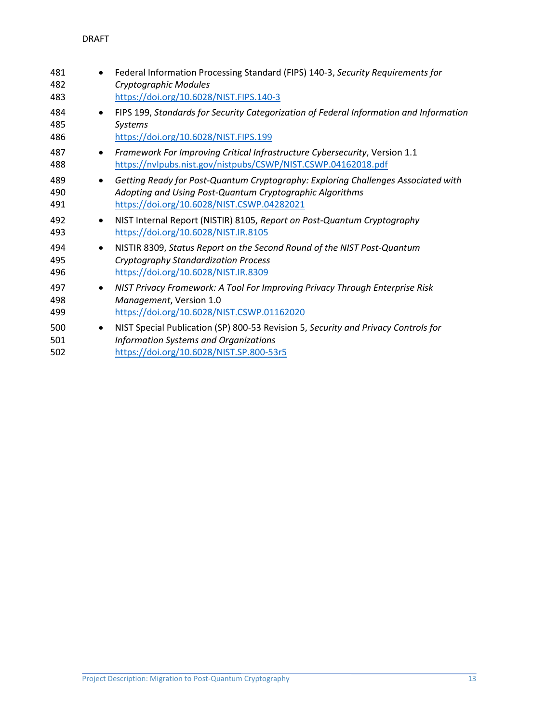| 481<br>482<br>483 |           | Federal Information Processing Standard (FIPS) 140-3, Security Requirements for<br>Cryptographic Modules<br>https://doi.org/10.6028/NIST.FIPS.140-3                                         |
|-------------------|-----------|---------------------------------------------------------------------------------------------------------------------------------------------------------------------------------------------|
| 484<br>485<br>486 | $\bullet$ | FIPS 199, Standards for Security Categorization of Federal Information and Information<br>Systems<br>https://doi.org/10.6028/NIST.FIPS.199                                                  |
| 487<br>488        | $\bullet$ | Framework For Improving Critical Infrastructure Cybersecurity, Version 1.1<br>https://nvlpubs.nist.gov/nistpubs/CSWP/NIST.CSWP.04162018.pdf                                                 |
| 489<br>490<br>491 | $\bullet$ | Getting Ready for Post-Quantum Cryptography: Exploring Challenges Associated with<br>Adopting and Using Post-Quantum Cryptographic Algorithms<br>https://doi.org/10.6028/NIST.CSWP.04282021 |
| 492<br>493        | $\bullet$ | NIST Internal Report (NISTIR) 8105, Report on Post-Quantum Cryptography<br>https://doi.org/10.6028/NIST.IR.8105                                                                             |
| 494<br>495<br>496 | $\bullet$ | NISTIR 8309, Status Report on the Second Round of the NIST Post-Quantum<br><b>Cryptography Standardization Process</b><br>https://doi.org/10.6028/NIST.IR.8309                              |
| 497<br>498<br>499 | $\bullet$ | NIST Privacy Framework: A Tool For Improving Privacy Through Enterprise Risk<br>Management, Version 1.0<br>https://doi.org/10.6028/NIST.CSWP.01162020                                       |
| 500<br>501<br>502 | $\bullet$ | NIST Special Publication (SP) 800-53 Revision 5, Security and Privacy Controls for<br><b>Information Systems and Organizations</b><br>https://doi.org/10.6028/NIST.SP.800-53r5              |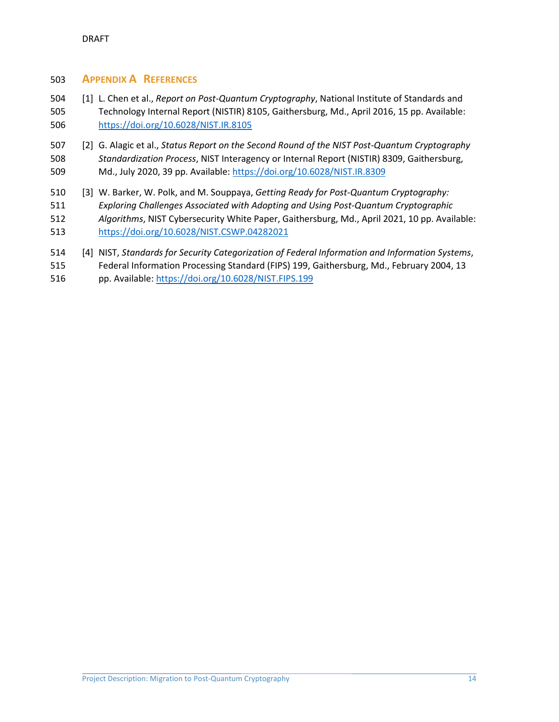#### <span id="page-14-0"></span>**APPENDIX A REFERENCES**

- <span id="page-14-1"></span> [1] L. Chen et al., *Report on Post-Quantum Cryptography*, National Institute of Standards and Technology Internal Report (NISTIR) 8105, Gaithersburg, Md., April 2016, 15 pp. Available: <https://doi.org/10.6028/NIST.IR.8105>
- <span id="page-14-2"></span> [2] G. Alagic et al., *Status Report on the Second Round of the NIST Post-Quantum Cryptography Standardization Process*, NIST Interagency or Internal Report (NISTIR) 8309, Gaithersburg, Md., July 2020, 39 pp. Available: <https://doi.org/10.6028/NIST.IR.8309>
- <span id="page-14-3"></span> [3] W. Barker, W. Polk, and M. Souppaya, *Getting Ready for Post-Quantum Cryptography: Exploring Challenges Associated with Adopting and Using Post-Quantum Cryptographic Algorithms*, NIST Cybersecurity White Paper, Gaithersburg, Md., April 2021, 10 pp. Available: <https://doi.org/10.6028/NIST.CSWP.04282021>
- <span id="page-14-4"></span>[4] NIST, *Standards for Security Categorization of Federal Information and Information Systems*,
- Federal Information Processing Standard (FIPS) 199, Gaithersburg, Md., February 2004, 13
- pp. Available: <https://doi.org/10.6028/NIST.FIPS.199>